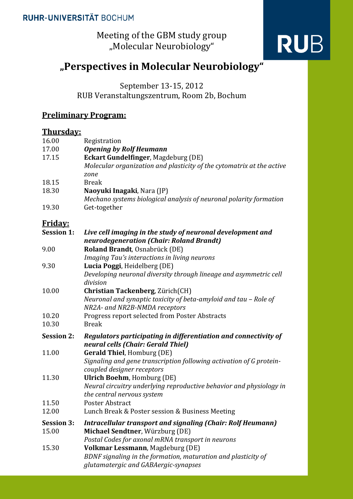Meeting of the GBM study group "Molecular Neurobiology"

# **RUB**

## **"Perspectives in Molecular Neurobiology"**

September 13-15, 2012

RUB Veranstaltungszentrum, Room 2b, Bochum

### **Preliminary Program:**

#### **Thursday:**

| 16.00             | Registration                                                          |
|-------------------|-----------------------------------------------------------------------|
| 17.00             | <b>Opening by Rolf Heumann</b>                                        |
| 17.15             | <b>Eckart Gundelfinger, Magdeburg (DE)</b>                            |
|                   | Molecular organization and plasticity of the cytomatrix at the active |
|                   | zone                                                                  |
| 18.15             | <b>Break</b>                                                          |
| 18.30             | Naoyuki Inagaki, Nara (JP)                                            |
|                   | Mechano systems biological analysis of neuronal polarity formation    |
| 19.30             | Get-together                                                          |
| <u>Friday:</u>    |                                                                       |
| <b>Session 1:</b> | Live cell imaging in the study of neuronal development and            |
|                   | neurodegeneration (Chair: Roland Brandt)                              |
| 9.00              | Roland Brandt, Osnabrück (DE)                                         |
|                   | Imaging Tau's interactions in living neurons                          |
| 9.30              | Lucia Poggi, Heidelberg (DE)                                          |
|                   | Developing neuronal diversity through lineage and asymmetric cell     |
|                   | division                                                              |
| 10.00             | Christian Tackenberg, Zürich(CH)                                      |
|                   | Neuronal and synaptic toxicity of beta-amyloid and tau - Role of      |
|                   | NR2A- and NR2B-NMDA receptors                                         |
| 10.20             | Progress report selected from Poster Abstracts                        |
| 10.30             | <b>Break</b>                                                          |
| <b>Session 2:</b> | Regulators participating in differentiation and connectivity of       |
|                   | neural cells (Chair: Gerald Thiel)                                    |
| 11.00             | <b>Gerald Thiel, Homburg (DE)</b>                                     |
|                   | Signaling and gene transcription following activation of G protein-   |
| 11.30             | coupled designer receptors<br><b>Ulrich Boehm, Homburg (DE)</b>       |
|                   | Neural circuitry underlying reproductive behavior and physiology in   |
|                   | the central nervous system                                            |
| 11.50             | Poster Abstract                                                       |
| 12.00             | Lunch Break & Poster session & Business Meeting                       |
| <b>Session 3:</b> | Intracellular transport and signaling (Chair: Rolf Heumann)           |
| 15.00             | Michael Sendtner, Würzburg (DE)                                       |
|                   | Postal Codes for axonal mRNA transport in neurons                     |
| 15.30             | Volkmar Lessmann, Magdeburg (DE)                                      |
|                   | BDNF signaling in the formation, maturation and plasticity of         |
|                   | glutamatergic and GABAergic-synapses                                  |